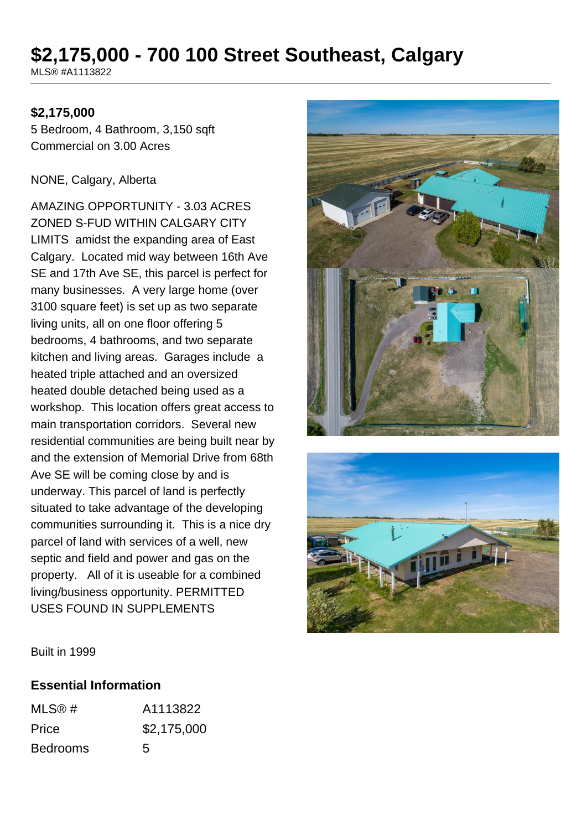# **\$2,175,000 - 700 100 Street Southeast, Calgary**

MLS® #A1113822

#### **\$2,175,000**

5 Bedroom, 4 Bathroom, 3,150 sqft Commercial on 3.00 Acres

#### NONE, Calgary, Alberta

AMAZING OPPORTUNITY - 3.03 ACRES ZONED S-FUD WITHIN CALGARY CITY LIMITS amidst the expanding area of East Calgary. Located mid way between 16th Ave SE and 17th Ave SE, this parcel is perfect for many businesses. A very large home (over 3100 square feet) is set up as two separate living units, all on one floor offering 5 bedrooms, 4 bathrooms, and two separate kitchen and living areas. Garages include a heated triple attached and an oversized heated double detached being used as a workshop. This location offers great access to main transportation corridors. Several new residential communities are being built near by and the extension of Memorial Drive from 68th Ave SE will be coming close by and is underway. This parcel of land is perfectly situated to take advantage of the developing communities surrounding it. This is a nice dry parcel of land with services of a well, new septic and field and power and gas on the property. All of it is useable for a combined living/business opportunity. PERMITTED USES FOUND IN SUPPLEMENTS





Built in 1999

#### **Essential Information**

| MLS@#           | A1113822    |
|-----------------|-------------|
| Price           | \$2,175,000 |
| <b>Bedrooms</b> | 5           |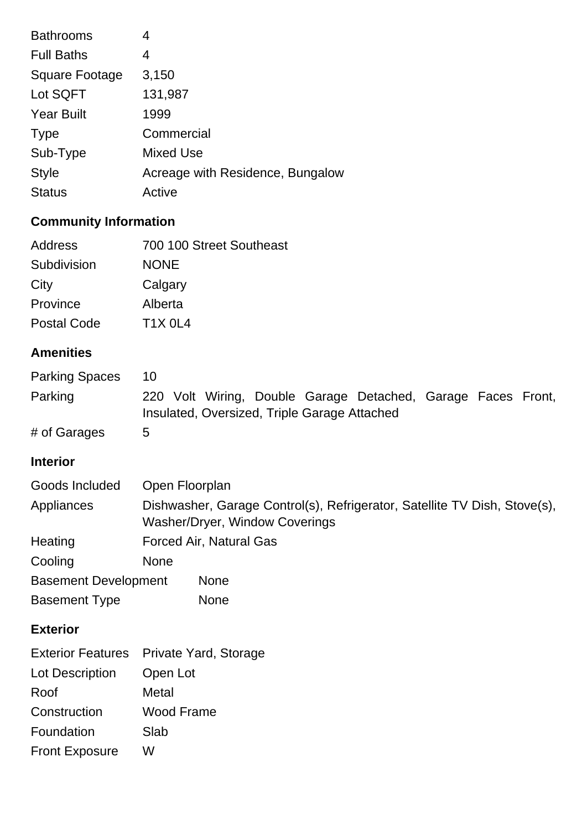| <b>Bathrooms</b>  | 4                                |
|-------------------|----------------------------------|
| <b>Full Baths</b> | 4                                |
| Square Footage    | 3,150                            |
| Lot SQFT          | 131,987                          |
| <b>Year Built</b> | 1999                             |
| <b>Type</b>       | Commercial                       |
| Sub-Type          | <b>Mixed Use</b>                 |
| <b>Style</b>      | Acreage with Residence, Bungalow |
| <b>Status</b>     | Active                           |

## **Community Information**

| Address            | 700 100 Street Southeast |
|--------------------|--------------------------|
| Subdivision        | <b>NONE</b>              |
| City               | Calgary                  |
| Province           | Alberta                  |
| <b>Postal Code</b> | <b>T1X 0L4</b>           |

## **Amenities**

| <b>Parking Spaces</b> | 10                                                           |  |  |  |
|-----------------------|--------------------------------------------------------------|--|--|--|
| Parking               | 220 Volt Wiring, Double Garage Detached, Garage Faces Front, |  |  |  |
|                       | Insulated, Oversized, Triple Garage Attached                 |  |  |  |
| # of Garages          | 5                                                            |  |  |  |

### **Interior**

| Goods Included              | Open Floorplan                                                                                              |                         |
|-----------------------------|-------------------------------------------------------------------------------------------------------------|-------------------------|
| Appliances                  | Dishwasher, Garage Control(s), Refrigerator, Satellite TV Dish, Stove(s),<br>Washer/Dryer, Window Coverings |                         |
| Heating                     |                                                                                                             | Forced Air, Natural Gas |
| Cooling                     | <b>None</b>                                                                                                 |                         |
| <b>Basement Development</b> |                                                                                                             | <b>None</b>             |
| <b>Basement Type</b>        |                                                                                                             | <b>None</b>             |

## **Exterior**

|                       | Exterior Features Private Yard, Storage |
|-----------------------|-----------------------------------------|
| Lot Description       | Open Lot                                |
| Roof                  | Metal                                   |
| Construction          | Wood Frame                              |
| Foundation            | Slab                                    |
| <b>Front Exposure</b> | w                                       |